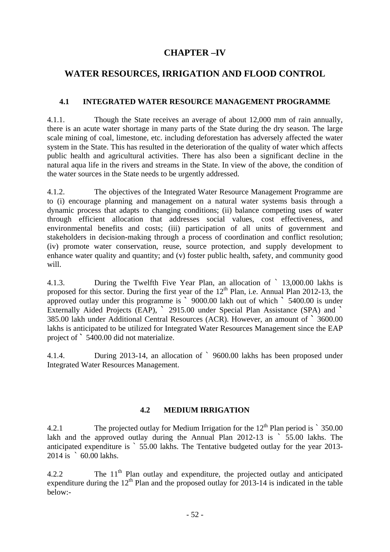# **CHAPTER –IV**

## **WATER RESOURCES, IRRIGATION AND FLOOD CONTROL**

## **4.1 INTEGRATED WATER RESOURCE MANAGEMENT PROGRAMME**

4.1.1. Though the State receives an average of about 12,000 mm of rain annually, there is an acute water shortage in many parts of the State during the dry season. The large scale mining of coal, limestone, etc. including deforestation has adversely affected the water system in the State. This has resulted in the deterioration of the quality of water which affects public health and agricultural activities. There has also been a significant decline in the natural aqua life in the rivers and streams in the State. In view of the above, the condition of the water sources in the State needs to be urgently addressed.

4.1.2. The objectives of the Integrated Water Resource Management Programme are to (i) encourage planning and management on a natural water systems basis through a dynamic process that adapts to changing conditions; (ii) balance competing uses of water through efficient allocation that addresses social values, cost effectiveness, and environmental benefits and costs; (iii) participation of all units of government and stakeholders in decision-making through a process of coordination and conflict resolution; (iv) promote water conservation, reuse, source protection, and supply development to enhance water quality and quantity; and (v) foster public health, safety, and community good will.

4.1.3. During the Twelfth Five Year Plan, an allocation of ` 13,000.00 lakhs is proposed for this sector. During the first year of the  $12<sup>th</sup>$  Plan, i.e. Annual Plan 2012-13, the approved outlay under this programme is **`** 9000.00 lakh out of which **`** 5400.00 is under Externally Aided Projects (EAP), **`** 2915.00 under Special Plan Assistance (SPA) and **`**  385.00 lakh under Additional Central Resources (ACR). However, an amount of **`** 3600.00 lakhs is anticipated to be utilized for Integrated Water Resources Management since the EAP project of **`** 5400.00 did not materialize.

4.1.4. During 2013-14, an allocation of ` 9600.00 lakhs has been proposed under Integrated Water Resources Management.

#### **4.2 MEDIUM IRRIGATION**

4.2.1 The projected outlay for Medium Irrigation for the  $12<sup>th</sup>$  Plan period is  $\degree$  350.00 lakh and the approved outlay during the Annual Plan 2012-13 is  $\frac{55.00}{55.00}$  lakhs. The anticipated expenditure is ` 55.00 lakhs. The Tentative budgeted outlay for the year 2013- 2014 is ` 60.00 lakhs.

4.2.2 The  $11<sup>th</sup>$  Plan outlay and expenditure, the projected outlay and anticipated expenditure during the  $12<sup>th</sup>$  Plan and the proposed outlay for 2013-14 is indicated in the table below:-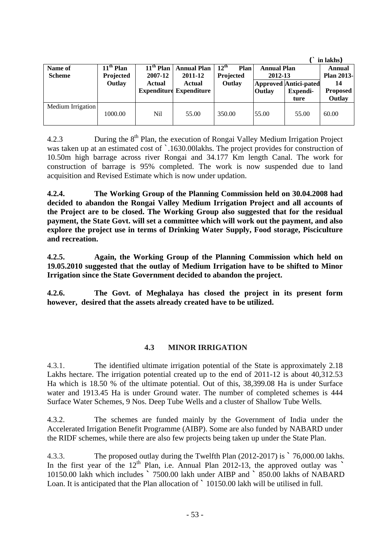|                   |             |             |                                |                          |                    |                              | in lakhs)         |
|-------------------|-------------|-------------|--------------------------------|--------------------------|--------------------|------------------------------|-------------------|
| Name of           | $11th$ Plan | $11th$ Plan | <b>Annual Plan</b>             | $12^{\text{th}}$<br>Plan | <b>Annual Plan</b> |                              | Annual            |
| <b>Scheme</b>     | Projected   | 2007-12     | 2011-12                        | Projected                | 2012-13            |                              | <b>Plan 2013-</b> |
|                   | Outlay      | Actual      | Actual                         | Outlay                   |                    | <b>Approved Antici-pated</b> | 14                |
|                   |             |             | <b>Expenditure Expenditure</b> |                          | Outlay             | Expendi-                     | <b>Proposed</b>   |
|                   |             |             |                                |                          |                    | ture                         | Outlay            |
| Medium Irrigation | 1000.00     | Nil         | 55.00                          | 350.00                   | 55.00              | 55.00                        | 60.00             |
|                   |             |             |                                |                          |                    |                              |                   |

4.2.3 During the 8<sup>th</sup> Plan, the execution of Rongai Valley Medium Irrigation Project was taken up at an estimated cost of `.1630.00lakhs. The project provides for construction of 10.50m high barrage across river Rongai and 34.177 Km length Canal. The work for construction of barrage is 95% completed. The work is now suspended due to land acquisition and Revised Estimate which is now under updation.

**4.2.4. The Working Group of the Planning Commission held on 30.04.2008 had decided to abandon the Rongai Valley Medium Irrigation Project and all accounts of the Project are to be closed. The Working Group also suggested that for the residual payment, the State Govt. will set a committee which will work out the payment, and also explore the project use in terms of Drinking Water Supply, Food storage, Pisciculture and recreation.** 

**4.2.5. Again, the Working Group of the Planning Commission which held on 19.05.2010 suggested that the outlay of Medium Irrigation have to be shifted to Minor Irrigation since the State Government decided to abandon the project.** 

**4.2.6. The Govt. of Meghalaya has closed the project in its present form however, desired that the assets already created have to be utilized.** 

#### **4.3 MINOR IRRIGATION**

4.3.1. The identified ultimate irrigation potential of the State is approximately 2.18 Lakhs hectare. The irrigation potential created up to the end of 2011-12 is about 40,312.53 Ha which is 18.50 % of the ultimate potential. Out of this, 38,399.08 Ha is under Surface water and 1913.45 Ha is under Ground water. The number of completed schemes is 444 Surface Water Schemes, 9 Nos. Deep Tube Wells and a cluster of Shallow Tube Wells.

4.3.2. The schemes are funded mainly by the Government of India under the Accelerated Irrigation Benefit Programme (AIBP). Some are also funded by NABARD under the RIDF schemes, while there are also few projects being taken up under the State Plan.

4.3.3. The proposed outlay during the Twelfth Plan (2012-2017) is **`** 76,000.00 lakhs. In the first year of the  $12<sup>th</sup>$  Plan, i.e. Annual Plan 2012-13, the approved outlay was **`** 10150.00 lakh which includes **`** 7500.00 lakh under AIBP and **`** 850.00 lakhs of NABARD Loan. It is anticipated that the Plan allocation of **`** 10150.00 lakh will be utilised in full.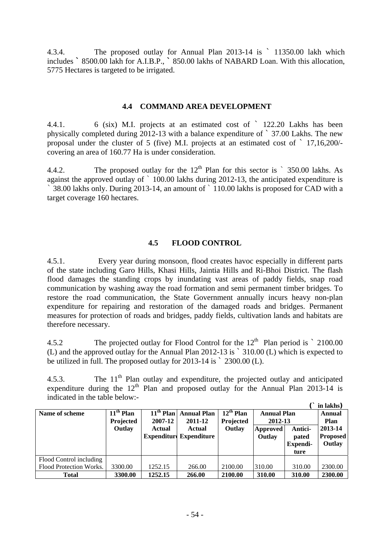4.3.4. The proposed outlay for Annual Plan 2013-14 is ` 11350.00 lakh which includes **`** 8500.00 lakh for A.I.B.P., **`** 850.00 lakhs of NABARD Loan. With this allocation, 5775 Hectares is targeted to be irrigated.

#### **4.4 COMMAND AREA DEVELOPMENT**

4.4.1. 6 (six) M.I. projects at an estimated cost of ` 122.20 Lakhs has been physically completed during 2012-13 with a balance expenditure of ` 37.00 Lakhs. The new proposal under the cluster of 5 (five) M.I. projects at an estimated cost of ` 17,16,200/ covering an area of 160.77 Ha is under consideration.

4.4.2. The proposed outlay for the  $12<sup>th</sup>$  Plan for this sector is  $\degree$  350.00 lakhs. As against the approved outlay of ` 100.00 lakhs during 2012-13, the anticipated expenditure is ` 38.00 lakhs only. During 2013-14, an amount of ` 110.00 lakhs is proposed for CAD with a target coverage 160 hectares.

## **4.5 FLOOD CONTROL**

4.5.1. Every year during monsoon, flood creates havoc especially in different parts of the state including Garo Hills, Khasi Hills, Jaintia Hills and Ri-Bhoi District. The flash flood damages the standing crops by inundating vast areas of paddy fields, snap road communication by washing away the road formation and semi permanent timber bridges. To restore the road communication, the State Government annually incurs heavy non-plan expenditure for repairing and restoration of the damaged roads and bridges. Permanent measures for protection of roads and bridges, paddy fields, cultivation lands and habitats are therefore necessary.

4.5.2 The projected outlay for Flood Control for the  $12<sup>th</sup>$  Plan period is  $\degree$  2100.00 (L) and the approved outlay for the Annual Plan 2012-13 is ` 310.00 (L) which is expected to be utilized in full. The proposed outlay for 2013-14 is ` 2300.00 (L).

4.5.3. The  $11<sup>th</sup>$  Plan outlay and expenditure, the projected outlay and anticipated expenditure during the  $12<sup>th</sup>$  Plan and proposed outlay for the Annual Plan 2013-14 is indicated in the table below:-

|                         |                  |                    |                    |                |                               |                 | in lakhs)       |
|-------------------------|------------------|--------------------|--------------------|----------------|-------------------------------|-----------------|-----------------|
| Name of scheme          | $11th$ Plan      | $11th$ Plan        | <b>Annual Plan</b> | $12^{th}$ Plan | <b>Annual Plan</b><br>2012-13 |                 | Annual          |
|                         | <b>Projected</b> | 2007-12            | 2011-12            | Projected      |                               |                 | Plan            |
|                         | Outlay           | <b>Actual</b>      | <b>Actual</b>      | Outlay         | Approved                      | Antici-         | 2013-14         |
|                         |                  | <b>Expenditure</b> | <b>Expenditure</b> |                | Outlay                        | pated           | <b>Proposed</b> |
|                         |                  |                    |                    |                |                               | <b>Expendi-</b> | Outlay          |
|                         |                  |                    |                    |                |                               | ture            |                 |
| Flood Control including |                  |                    |                    |                |                               |                 |                 |
| Flood Protection Works. | 3300.00          | 1252.15            | 266.00             | 2100.00        | 310.00                        | 310.00          | 2300.00         |
| <b>Total</b>            | 3300.00          | 1252.15            | 266.00             | 2100.00        | 310.00                        | 310.00          | 2300.00         |